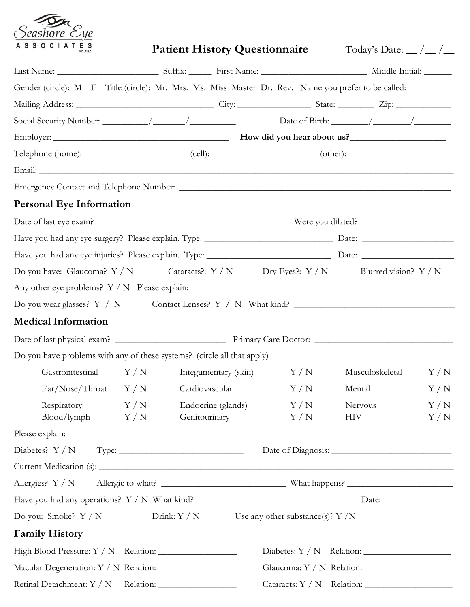

| A S S O C I A T E S                                                                                  |                            |                                     | <b>Patient History Questionnaire</b>               | Today's Date: $\_\/\_\$                       |            |
|------------------------------------------------------------------------------------------------------|----------------------------|-------------------------------------|----------------------------------------------------|-----------------------------------------------|------------|
|                                                                                                      |                            |                                     |                                                    |                                               |            |
| Gender (circle): M F Title (circle): Mr. Mrs. Ms. Miss Master Dr. Rev. Name you prefer to be called: |                            |                                     |                                                    |                                               |            |
| Mailing Address: City: City: State: Zip: Zip:                                                        |                            |                                     |                                                    |                                               |            |
|                                                                                                      |                            |                                     |                                                    |                                               |            |
|                                                                                                      |                            |                                     |                                                    |                                               |            |
|                                                                                                      |                            |                                     |                                                    |                                               |            |
|                                                                                                      |                            |                                     |                                                    |                                               |            |
|                                                                                                      |                            |                                     |                                                    |                                               |            |
| <b>Personal Eye Information</b>                                                                      |                            |                                     |                                                    |                                               |            |
|                                                                                                      |                            |                                     |                                                    |                                               |            |
|                                                                                                      |                            |                                     |                                                    |                                               |            |
|                                                                                                      |                            |                                     |                                                    |                                               |            |
| Do you have: Glaucoma? $Y/N$ Cataracts?: $Y/N$ Dry Eyes?: $Y/N$                                      |                            |                                     |                                                    | Blurred vision? $Y / N$                       |            |
|                                                                                                      |                            |                                     |                                                    |                                               |            |
| Do you wear glasses? $Y / N$ Contact Lenses? $Y / N$ What kind?                                      |                            |                                     |                                                    |                                               |            |
| <b>Medical Information</b>                                                                           |                            |                                     |                                                    |                                               |            |
|                                                                                                      |                            |                                     |                                                    |                                               |            |
| Do you have problems with any of these systems? (circle all that apply)                              |                            |                                     |                                                    |                                               |            |
| Gastrointestinal                                                                                     | Y / N Integumentary (skin) |                                     | Y/N                                                | Musculoskeletal                               | Y/N        |
|                                                                                                      |                            |                                     |                                                    | Ear/Nose/Throat Y/N Cardiovascular Y/N Mental | Y/N        |
| Respiratory<br>$\text{Blood/lymph}$ $\qquad$ $Y/N$                                                   | Y/N                        | Endocrine (glands)<br>Genitourinary | Y/N<br>Y/N                                         | Nervous<br>HIV                                | Y/N<br>Y/N |
|                                                                                                      |                            |                                     |                                                    |                                               |            |
|                                                                                                      |                            |                                     |                                                    |                                               |            |
|                                                                                                      |                            |                                     |                                                    |                                               |            |
|                                                                                                      |                            |                                     |                                                    |                                               |            |
|                                                                                                      |                            |                                     |                                                    |                                               |            |
| Do you: Smoke? $Y/N$                                                                                 |                            |                                     | Drink: $Y / N$ Use any other substance(s)? $Y / N$ |                                               |            |
| <b>Family History</b>                                                                                |                            |                                     |                                                    |                                               |            |
|                                                                                                      |                            |                                     | $Diabetes: Y / N$ Relation:                        |                                               |            |
|                                                                                                      |                            |                                     |                                                    |                                               |            |
|                                                                                                      |                            |                                     |                                                    |                                               |            |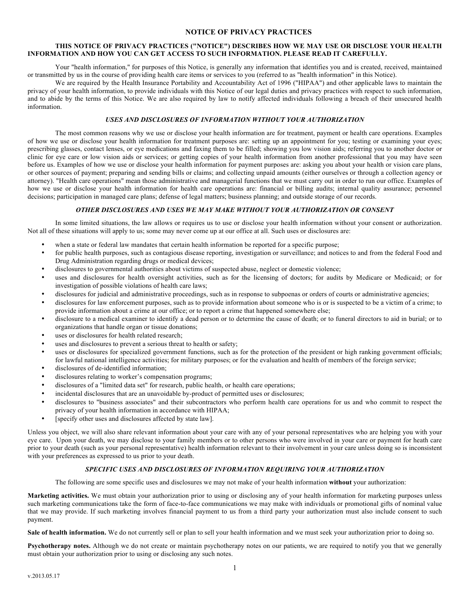# **NOTICE OF PRIVACY PRACTICES**

### **THIS NOTICE OF PRIVACY PRACTICES ("NOTICE") DESCRIBES HOW WE MAY USE OR DISCLOSE YOUR HEALTH INFORMATION AND HOW YOU CAN GET ACCESS TO SUCH INFORMATION. PLEASE READ IT CAREFULLY.**

Your "health information," for purposes of this Notice, is generally any information that identifies you and is created, received, maintained or transmitted by us in the course of providing health care items or services to you (referred to as "health information" in this Notice).

We are required by the Health Insurance Portability and Accountability Act of 1996 ("HIPAA") and other applicable laws to maintain the privacy of your health information, to provide individuals with this Notice of our legal duties and privacy practices with respect to such information, and to abide by the terms of this Notice. We are also required by law to notify affected individuals following a breach of their unsecured health information.

### *USES AND DISCLOSURES OF INFORMATION WITHOUT YOUR AUTHORIZATION*

The most common reasons why we use or disclose your health information are for treatment, payment or health care operations. Examples of how we use or disclose your health information for treatment purposes are: setting up an appointment for you; testing or examining your eyes; prescribing glasses, contact lenses, or eye medications and faxing them to be filled; showing you low vision aids; referring you to another doctor or clinic for eye care or low vision aids or services; or getting copies of your health information from another professional that you may have seen before us. Examples of how we use or disclose your health information for payment purposes are: asking you about your health or vision care plans, or other sources of payment; preparing and sending bills or claims; and collecting unpaid amounts (either ourselves or through a collection agency or attorney). "Health care operations" mean those administrative and managerial functions that we must carry out in order to run our office. Examples of how we use or disclose your health information for health care operations are: financial or billing audits; internal quality assurance; personnel decisions; participation in managed care plans; defense of legal matters; business planning; and outside storage of our records.

#### *OTHER DISCLOSURES AND USES WE MAY MAKE WITHOUT YOUR AUTHORIZATION OR CONSENT*

In some limited situations, the law allows or requires us to use or disclose your health information without your consent or authorization. Not all of these situations will apply to us; some may never come up at our office at all. Such uses or disclosures are:

- when a state or federal law mandates that certain health information be reported for a specific purpose;
- for public health purposes, such as contagious disease reporting, investigation or surveillance; and notices to and from the federal Food and Drug Administration regarding drugs or medical devices;
- disclosures to governmental authorities about victims of suspected abuse, neglect or domestic violence;
- uses and disclosures for health oversight activities, such as for the licensing of doctors; for audits by Medicare or Medicaid; or for investigation of possible violations of health care laws;
- disclosures for judicial and administrative proceedings, such as in response to subpoenas or orders of courts or administrative agencies;
- disclosures for law enforcement purposes, such as to provide information about someone who is or is suspected to be a victim of a crime; to provide information about a crime at our office; or to report a crime that happened somewhere else;
- disclosure to a medical examiner to identify a dead person or to determine the cause of death; or to funeral directors to aid in burial; or to organizations that handle organ or tissue donations;
- uses or disclosures for health related research;
- uses and disclosures to prevent a serious threat to health or safety;
- uses or disclosures for specialized government functions, such as for the protection of the president or high ranking government officials; for lawful national intelligence activities; for military purposes; or for the evaluation and health of members of the foreign service;
- disclosures of de-identified information:
- disclosures relating to worker's compensation programs;
- disclosures of a "limited data set" for research, public health, or health care operations;
- incidental disclosures that are an unavoidable by-product of permitted uses or disclosures;
- disclosures to "business associates" and their subcontractors who perform health care operations for us and who commit to respect the privacy of your health information in accordance with HIPAA;
- [specify other uses and disclosures affected by state law].

Unless you object, we will also share relevant information about your care with any of your personal representatives who are helping you with your eye care. Upon your death, we may disclose to your family members or to other persons who were involved in your care or payment for heath care prior to your death (such as your personal representative) health information relevant to their involvement in your care unless doing so is inconsistent with your preferences as expressed to us prior to your death.

## *SPECIFIC USES AND DISCLOSURES OF INFORMATION REQUIRING YOUR AUTHORIZATION*

The following are some specific uses and disclosures we may not make of your health information **without** your authorization:

**Marketing activities.** We must obtain your authorization prior to using or disclosing any of your health information for marketing purposes unless such marketing communications take the form of face-to-face communications we may make with individuals or promotional gifts of nominal value that we may provide. If such marketing involves financial payment to us from a third party your authorization must also include consent to such payment.

Sale of health information. We do not currently sell or plan to sell your health information and we must seek your authorization prior to doing so.

**Psychotherapy notes.** Although we do not create or maintain psychotherapy notes on our patients, we are required to notify you that we generally must obtain your authorization prior to using or disclosing any such notes.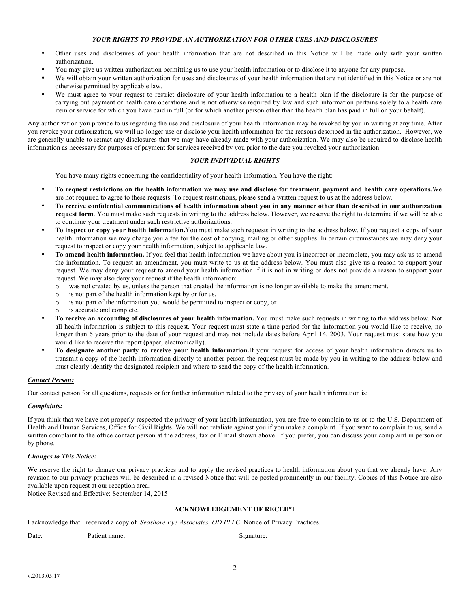# *YOUR RIGHTS TO PROVIDE AN AUTHORIZATION FOR OTHER USES AND DISCLOSURES*

- Other uses and disclosures of your health information that are not described in this Notice will be made only with your written authorization.
- You may give us written authorization permitting us to use your health information or to disclose it to anyone for any purpose.
- We will obtain your written authorization for uses and disclosures of your health information that are not identified in this Notice or are not otherwise permitted by applicable law.
- We must agree to your request to restrict disclosure of your health information to a health plan if the disclosure is for the purpose of carrying out payment or health care operations and is not otherwise required by law and such information pertains solely to a health care item or service for which you have paid in full (or for which another person other than the health plan has paid in full on your behalf).

Any authorization you provide to us regarding the use and disclosure of your health information may be revoked by you in writing at any time. After you revoke your authorization, we will no longer use or disclose your health information for the reasons described in the authorization. However, we are generally unable to retract any disclosures that we may have already made with your authorization. We may also be required to disclose health information as necessary for purposes of payment for services received by you prior to the date you revoked your authorization.

## *YOUR INDIVIDUAL RIGHTS*

You have many rights concerning the confidentiality of your health information. You have the right:

- **To request restrictions on the health information we may use and disclose for treatment, payment and health care operations.**We are not required to agree to these requests. To request restrictions, please send a written request to us at the address below.
- **To receive confidential communications of health information about you in any manner other than described in our authorization request form**. You must make such requests in writing to the address below. However, we reserve the right to determine if we will be able to continue your treatment under such restrictive authorizations.
- **To inspect or copy your health information.**You must make such requests in writing to the address below. If you request a copy of your health information we may charge you a fee for the cost of copying, mailing or other supplies. In certain circumstances we may deny your request to inspect or copy your health information, subject to applicable law.
- **To amend health information.** If you feel that health information we have about you is incorrect or incomplete, you may ask us to amend the information. To request an amendment, you must write to us at the address below. You must also give us a reason to support your request. We may deny your request to amend your health information if it is not in writing or does not provide a reason to support your request. We may also deny your request if the health information:
	- o was not created by us, unless the person that created the information is no longer available to make the amendment,
	- o is not part of the health information kept by or for us,
	- o is not part of the information you would be permitted to inspect or copy, or
	- o is accurate and complete.
- **To receive an accounting of disclosures of your health information.** You must make such requests in writing to the address below. Not all health information is subject to this request. Your request must state a time period for the information you would like to receive, no longer than 6 years prior to the date of your request and may not include dates before April 14, 2003. Your request must state how you would like to receive the report (paper, electronically).
- **To designate another party to receive your health information.**If your request for access of your health information directs us to transmit a copy of the health information directly to another person the request must be made by you in writing to the address below and must clearly identify the designated recipient and where to send the copy of the health information.

#### *Contact Person:*

Our contact person for all questions, requests or for further information related to the privacy of your health information is:

#### *Complaints:*

If you think that we have not properly respected the privacy of your health information, you are free to complain to us or to the U.S. Department of Health and Human Services, Office for Civil Rights. We will not retaliate against you if you make a complaint. If you want to complain to us, send a written complaint to the office contact person at the address, fax or E mail shown above. If you prefer, you can discuss your complaint in person or by phone.

#### *Changes to This Notice:*

We reserve the right to change our privacy practices and to apply the revised practices to health information about you that we already have. Any revision to our privacy practices will be described in a revised Notice that will be posted prominently in our facility. Copies of this Notice are also available upon request at our reception area.

Notice Revised and Effective: September 14, 2015

## **ACKNOWLEDGEMENT OF RECEIPT**

I acknowledge that I received a copy of *Seashore Eye Associates, OD PLLC* Notice of Privacy Practices.

Date: Patient name: Signature:  $\Box$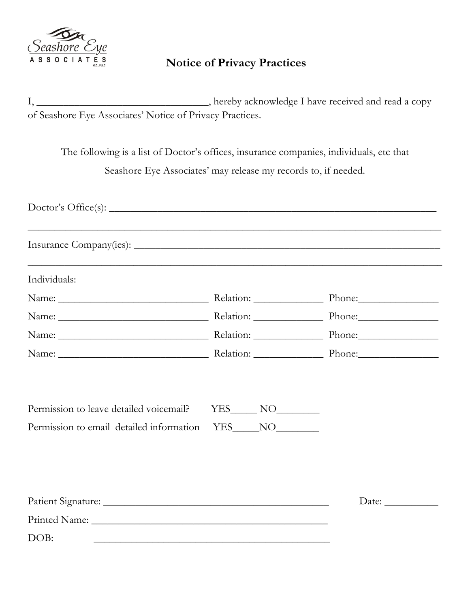

# **Notice of Privacy Practices**

I, \_\_\_\_\_\_\_\_\_\_\_\_\_\_\_\_\_\_\_\_\_\_\_\_\_\_\_\_\_\_\_\_\_\_, hereby acknowledge I have received and read a copy of Seashore Eye Associates' Notice of Privacy Practices.

The following is a list of Doctor's offices, insurance companies, individuals, etc that Seashore Eye Associates' may release my records to, if needed.

| <u> 1989 - Johann Stoff, amerikansk politiker (d. 1989)</u><br>Individuals:<br>Name: Name: Name: Name: Nelation: Nelation: Name: Nelation: Name: Nelation: Nelson Phone: Nelson Nelson Phone: Nelson Nelson Nelson Nelson Nelson Nelson Nelson Nelson Nelson Nelson Nelson Nelson Nelson Nelson Nelson Nelson |              |
|---------------------------------------------------------------------------------------------------------------------------------------------------------------------------------------------------------------------------------------------------------------------------------------------------------------|--------------|
|                                                                                                                                                                                                                                                                                                               |              |
|                                                                                                                                                                                                                                                                                                               |              |
|                                                                                                                                                                                                                                                                                                               |              |
| Name: Name: Relation: Relation: Phone: Phone:                                                                                                                                                                                                                                                                 |              |
| Name: Name: Relation: Relation: Phone: Phone:                                                                                                                                                                                                                                                                 |              |
| Name: Name: Relation: Relation: Phone: Phone:                                                                                                                                                                                                                                                                 |              |
| Permission to leave detailed voicemail? YES_____ NO_______                                                                                                                                                                                                                                                    |              |
| Permission to email detailed information YES____NO_______                                                                                                                                                                                                                                                     |              |
|                                                                                                                                                                                                                                                                                                               | Date: $\_\_$ |
|                                                                                                                                                                                                                                                                                                               |              |

DOB: \_\_\_\_\_\_\_\_\_\_\_\_\_\_\_\_\_\_\_\_\_\_\_\_\_\_\_\_\_\_\_\_\_\_\_\_\_\_\_\_\_\_\_\_